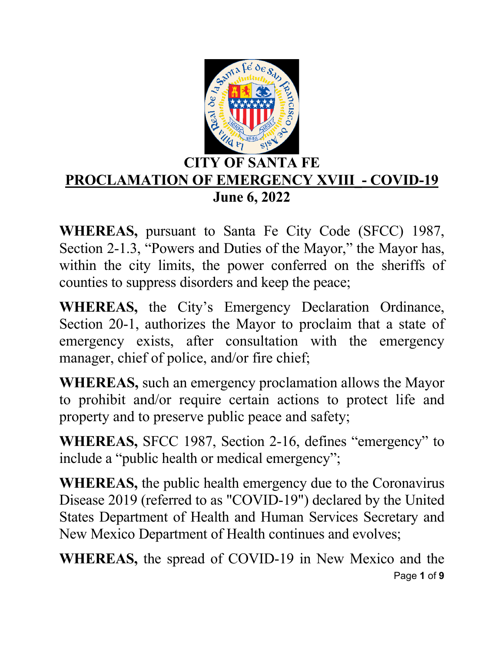

### **CITY OF SANTA FE PROCLAMATION OF EMERGENCY XVIII - COVID-19 June 6, 2022**

**WHEREAS,** pursuant to Santa Fe City Code (SFCC) 1987, Section 2-1.3, "Powers and Duties of the Mayor," the Mayor has, within the city limits, the power conferred on the sheriffs of counties to suppress disorders and keep the peace;

**WHEREAS,** the City's Emergency Declaration Ordinance, Section 20-1, authorizes the Mayor to proclaim that a state of emergency exists, after consultation with the emergency manager, chief of police, and/or fire chief;

**WHEREAS,** such an emergency proclamation allows the Mayor to prohibit and/or require certain actions to protect life and property and to preserve public peace and safety;

**WHEREAS,** SFCC 1987, Section 2-16, defines "emergency" to include a "public health or medical emergency";

**WHEREAS,** the public health emergency due to the Coronavirus Disease 2019 (referred to as "COVID-19") declared by the United States Department of Health and Human Services Secretary and New Mexico Department of Health continues and evolves;

Page **1** of **9 WHEREAS,** the spread of COVID-19 in New Mexico and the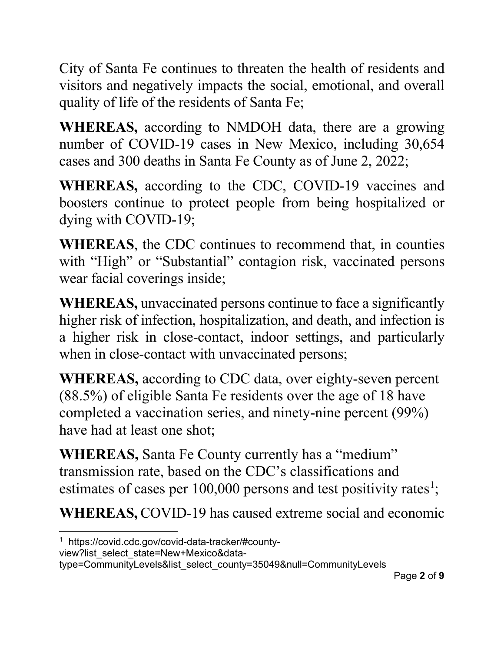City of Santa Fe continues to threaten the health of residents and visitors and negatively impacts the social, emotional, and overall quality of life of the residents of Santa Fe;

**WHEREAS,** according to NMDOH data, there are a growing number of COVID-19 cases in New Mexico, including 30,654 cases and 300 deaths in Santa Fe County as of June 2, 2022;

**WHEREAS,** according to the CDC, COVID-19 vaccines and boosters continue to protect people from being hospitalized or dying with COVID-19;

**WHEREAS**, the CDC continues to recommend that, in counties with "High" or "Substantial" contagion risk, vaccinated persons wear facial coverings inside;

**WHEREAS,** unvaccinated persons continue to face a significantly higher risk of infection, hospitalization, and death, and infection is a higher risk in close-contact, indoor settings, and particularly when in close-contact with unvaccinated persons;

**WHEREAS,** according to CDC data, over eighty-seven percent (88.5%) of eligible Santa Fe residents over the age of 18 have completed a vaccination series, and ninety-nine percent (99%) have had at least one shot;

**WHEREAS,** Santa Fe County currently has a "medium" transmission rate, based on the CDC's classifications and estimates of cases per  $100,000$  persons and test positivity rates<sup>1</sup>;

**WHEREAS,** COVID-19 has caused extreme social and economic

view?list\_select\_state=New+Mexico&data-

<sup>1</sup> https://covid.cdc.gov/covid-data-tracker/#county-

type=CommunityLevels&list\_select\_county=35049&null=CommunityLevels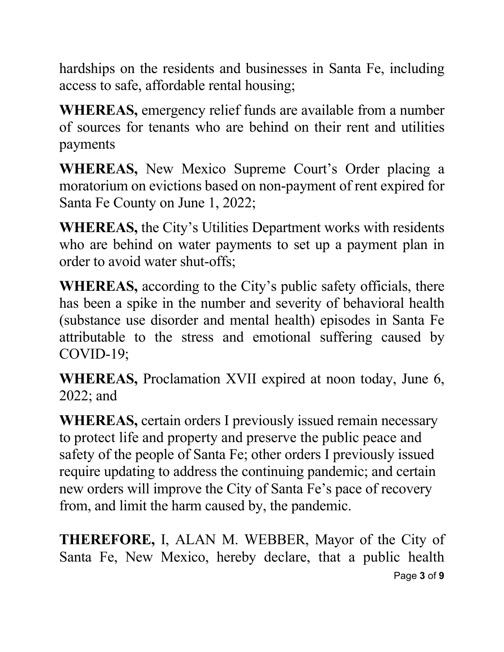hardships on the residents and businesses in Santa Fe, including access to safe, affordable rental housing;

**WHEREAS,** emergency relief funds are available from a number of sources for tenants who are behind on their rent and utilities payments

**WHEREAS,** New Mexico Supreme Court's Order placing a moratorium on evictions based on non-payment of rent expired for Santa Fe County on June 1, 2022;

**WHEREAS,** the City's Utilities Department works with residents who are behind on water payments to set up a payment plan in order to avoid water shut-offs;

**WHEREAS,** according to the City's public safety officials, there has been a spike in the number and severity of behavioral health (substance use disorder and mental health) episodes in Santa Fe attributable to the stress and emotional suffering caused by COVID-19;

**WHEREAS,** Proclamation XVII expired at noon today, June 6, 2022; and

**WHEREAS,** certain orders I previously issued remain necessary to protect life and property and preserve the public peace and safety of the people of Santa Fe; other orders I previously issued require updating to address the continuing pandemic; and certain new orders will improve the City of Santa Fe's pace of recovery from, and limit the harm caused by, the pandemic.

Page **3** of **9 THEREFORE,** I, ALAN M. WEBBER, Mayor of the City of Santa Fe, New Mexico, hereby declare, that a public health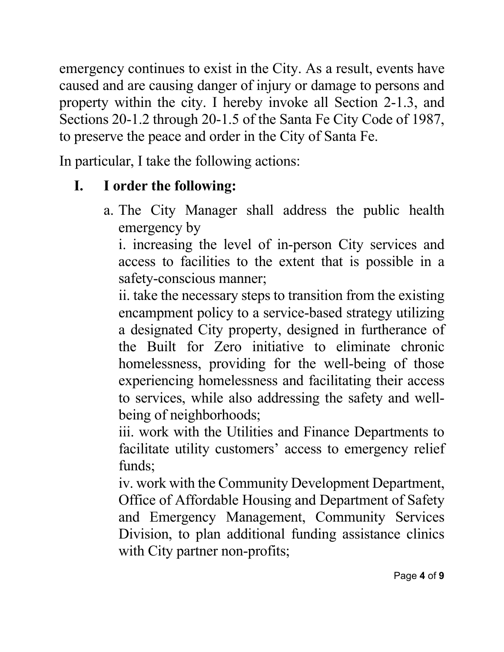emergency continues to exist in the City. As a result, events have caused and are causing danger of injury or damage to persons and property within the city. I hereby invoke all Section 2-1.3, and Sections 20-1.2 through 20-1.5 of the Santa Fe City Code of 1987, to preserve the peace and order in the City of Santa Fe.

In particular, I take the following actions:

## **I. I order the following:**

a. The City Manager shall address the public health emergency by

i. increasing the level of in-person City services and access to facilities to the extent that is possible in a safety-conscious manner;

ii. take the necessary steps to transition from the existing encampment policy to a service-based strategy utilizing a designated City property, designed in furtherance of the Built for Zero initiative to eliminate chronic homelessness, providing for the well-being of those experiencing homelessness and facilitating their access to services, while also addressing the safety and wellbeing of neighborhoods;

iii. work with the Utilities and Finance Departments to facilitate utility customers' access to emergency relief funds;

iv. work with the Community Development Department, Office of Affordable Housing and Department of Safety and Emergency Management, Community Services Division, to plan additional funding assistance clinics with City partner non-profits;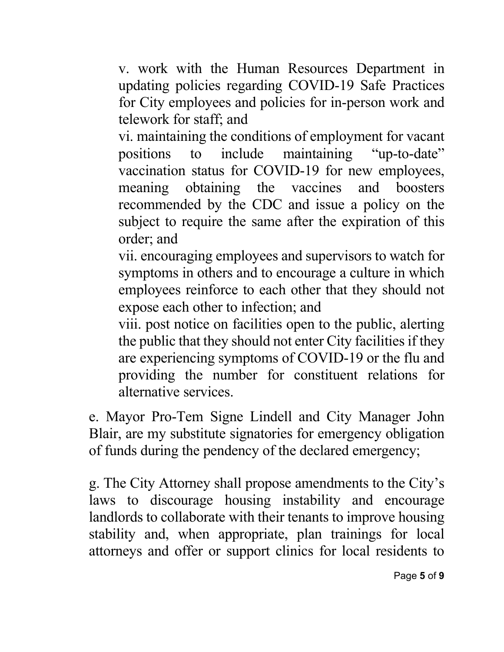v. work with the Human Resources Department in updating policies regarding COVID-19 Safe Practices for City employees and policies for in-person work and telework for staff; and

vi. maintaining the conditions of employment for vacant positions to include maintaining "up-to-date" vaccination status for COVID-19 for new employees, meaning obtaining the vaccines and boosters recommended by the CDC and issue a policy on the subject to require the same after the expiration of this order; and

vii. encouraging employees and supervisors to watch for symptoms in others and to encourage a culture in which employees reinforce to each other that they should not expose each other to infection; and

viii. post notice on facilities open to the public, alerting the public that they should not enter City facilities if they are experiencing symptoms of COVID-19 or the flu and providing the number for constituent relations for alternative services.

e. Mayor Pro-Tem Signe Lindell and City Manager John Blair, are my substitute signatories for emergency obligation of funds during the pendency of the declared emergency;

g. The City Attorney shall propose amendments to the City's laws to discourage housing instability and encourage landlords to collaborate with their tenants to improve housing stability and, when appropriate, plan trainings for local attorneys and offer or support clinics for local residents to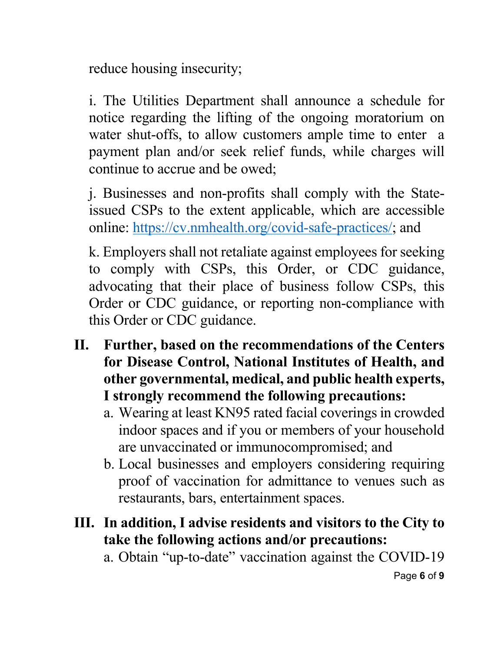reduce housing insecurity;

i. The Utilities Department shall announce a schedule for notice regarding the lifting of the ongoing moratorium on water shut-offs, to allow customers ample time to enter a payment plan and/or seek relief funds, while charges will continue to accrue and be owed;

j. Businesses and non-profits shall comply with the Stateissued CSPs to the extent applicable, which are accessible online: [https://cv.nmhealth.org/covid-safe-practices/;](https://cv.nmhealth.org/covid-safe-practices/) and

k. Employers shall not retaliate against employees for seeking to comply with CSPs, this Order, or CDC guidance, advocating that their place of business follow CSPs, this Order or CDC guidance, or reporting non-compliance with this Order or CDC guidance.

- **II. Further, based on the recommendations of the Centers for Disease Control, National Institutes of Health, and other governmental, medical, and public health experts, I strongly recommend the following precautions:** 
	- a. Wearing at least KN95 rated facial coverings in crowded indoor spaces and if you or members of your household are unvaccinated or immunocompromised; and
	- b. Local businesses and employers considering requiring proof of vaccination for admittance to venues such as restaurants, bars, entertainment spaces.
- **III. In addition, I advise residents and visitors to the City to take the following actions and/or precautions:**

a. Obtain "up-to-date" vaccination against the COVID-19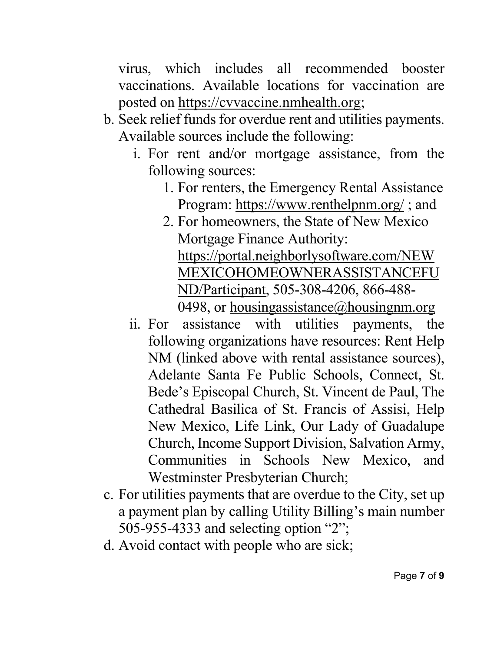virus, which includes all recommended booster vaccinations. Available locations for vaccination are posted on [https://cvvaccine.nmhealth.org;](https://cvvaccine.nmhealth.org/)

- b. Seek relief funds for overdue rent and utilities payments. Available sources include the following:
	- i. For rent and/or mortgage assistance, from the following sources:
		- 1. For renters, the Emergency Rental Assistance Program:<https://www.renthelpnm.org/> ; and
		- 2. For homeowners, the State of New Mexico Mortgage Finance Authority: [https://portal.neighborlysoftware.com/NEW](https://portal.neighborlysoftware.com/NEWMEXICOHOMEOWNERASSISTANCEFUND/Participant) [MEXICOHOMEOWNERASSISTANCEFU](https://portal.neighborlysoftware.com/NEWMEXICOHOMEOWNERASSISTANCEFUND/Participant) [ND/Participant,](https://portal.neighborlysoftware.com/NEWMEXICOHOMEOWNERASSISTANCEFUND/Participant) 505-308-4206, 866-488- 0498, or housingassistance $(a)$ housingnm.org
	- ii. For assistance with utilities payments, the following organizations have resources: Rent Help NM (linked above with rental assistance sources), Adelante Santa Fe Public Schools, Connect, St. Bede's Episcopal Church, St. Vincent de Paul, The Cathedral Basilica of St. Francis of Assisi, Help New Mexico, Life Link, Our Lady of Guadalupe Church, Income Support Division, Salvation Army, Communities in Schools New Mexico, and Westminster Presbyterian Church;
- c. For utilities payments that are overdue to the City, set up a payment plan by calling Utility Billing's main number 505-955-4333 and selecting option "2";
- d. Avoid contact with people who are sick;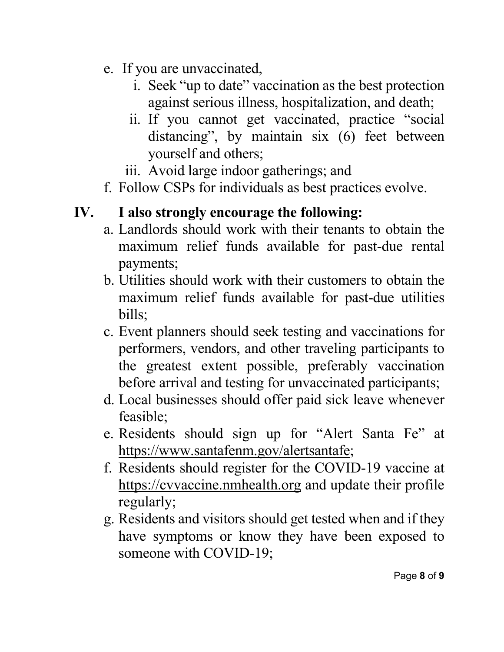- e. If you are unvaccinated,
	- i. Seek "up to date" vaccination as the best protection against serious illness, hospitalization, and death;
	- ii. If you cannot get vaccinated, practice "social distancing", by maintain six (6) feet between yourself and others;
	- iii. Avoid large indoor gatherings; and
- f. Follow CSPs for individuals as best practices evolve.

# **IV. I also strongly encourage the following:**

- a. Landlords should work with their tenants to obtain the maximum relief funds available for past-due rental payments;
- b. Utilities should work with their customers to obtain the maximum relief funds available for past-due utilities bills;
- c. Event planners should seek testing and vaccinations for performers, vendors, and other traveling participants to the greatest extent possible, preferably vaccination before arrival and testing for unvaccinated participants;
- d. Local businesses should offer paid sick leave whenever feasible;
- e. Residents should sign up for "Alert Santa Fe" at [https://www.santafenm.gov/alertsantafe;](https://www.santafenm.gov/alertsantafe)
- f. Residents should register for the COVID-19 vaccine at [https://cvvaccine.nmhealth.org](https://cvvaccine.nmhealth.org/) and update their profile regularly;
- g. Residents and visitors should get tested when and if they have symptoms or know they have been exposed to someone with COVID-19;